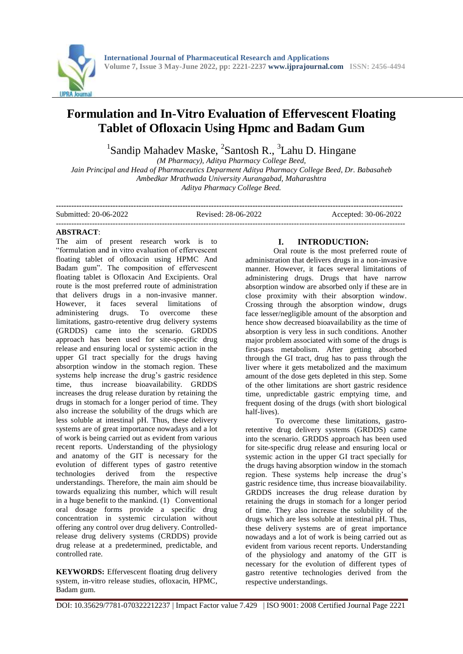

# **Formulation and In-Vitro Evaluation of Effervescent Floating Tablet of Ofloxacin Using Hpmc and Badam Gum**

<sup>1</sup>Sandip Mahadev Maske, <sup>2</sup>Santosh R., <sup>3</sup>Lahu D. Hingane

*(M Pharmacy), Aditya Pharmacy College Beed, Jain Principal and Head of Pharmaceutics Deparment Aditya Pharmacy College Beed, Dr. Babasaheb Ambedkar Mrathwada University Aurangabad, Maharashtra Aditya Pharmacy College Beed.*

**--------------------------------------------------------------------------------------------------------------------------------------** Submitted: 20-06-2022 Revised: 28-06-2022 Accepted: 30-06-2022 ---------------------------------------------------------------------------------------------------------------------------------------

#### **ABSTRACT**:

The aim of present research work is to "formulation and in vitro evaluation of effervescent floating tablet of ofloxacin using HPMC And Badam gum". The composition of effervescent floating tablet is Ofloxacin And Excipients. Oral route is the most preferred route of administration that delivers drugs in a non-invasive manner. However, it faces several limitations of administering drugs. To overcome these limitations, gastro-retentive drug delivery systems (GRDDS) came into the scenario. GRDDS approach has been used for site-specific drug release and ensuring local or systemic action in the upper GI tract specially for the drugs having absorption window in the stomach region. These systems help increase the drug's gastric residence time, thus increase bioavailability. GRDDS increases the drug release duration by retaining the drugs in stomach for a longer period of time. They also increase the solubility of the drugs which are less soluble at intestinal pH. Thus, these delivery systems are of great importance nowadays and a lot of work is being carried out as evident from various recent reports. Understanding of the physiology and anatomy of the GIT is necessary for the evolution of different types of gastro retentive technologies derived from the respective understandings. Therefore, the main aim should be towards equalizing this number, which will result in a huge benefit to the mankind. (1) Conventional oral dosage forms provide a specific drug concentration in systemic circulation without offering any control over drug delivery. Controlledrelease drug delivery systems (CRDDS) provide drug release at a predetermined, predictable, and controlled rate.

**KEYWORDS:** Effervescent floating drug delivery system, in-vitro release studies, ofloxacin, HPMC, Badam gum.

#### **I. INTRODUCTION:**

Oral route is the most preferred route of administration that delivers drugs in a non-invasive manner. However, it faces several limitations of administering drugs. Drugs that have narrow absorption window are absorbed only if these are in close proximity with their absorption window. Crossing through the absorption window, drugs face lesser/negligible amount of the absorption and hence show decreased bioavailability as the time of absorption is very less in such conditions. Another major problem associated with some of the drugs is first-pass metabolism. After getting absorbed through the GI tract, drug has to pass through the liver where it gets metabolized and the maximum amount of the dose gets depleted in this step. Some of the other limitations are short gastric residence time, unpredictable gastric emptying time, and frequent dosing of the drugs (with short biological half-lives).

To overcome these limitations, gastroretentive drug delivery systems (GRDDS) came into the scenario. GRDDS approach has been used for site-specific drug release and ensuring local or systemic action in the upper GI tract specially for the drugs having absorption window in the stomach region. These systems help increase the drug's gastric residence time, thus increase bioavailability. GRDDS increases the drug release duration by retaining the drugs in stomach for a longer period of time. They also increase the solubility of the drugs which are less soluble at intestinal pH. Thus, these delivery systems are of great importance nowadays and a lot of work is being carried out as evident from various recent reports. Understanding of the physiology and anatomy of the GIT is necessary for the evolution of different types of gastro retentive technologies derived from the respective understandings.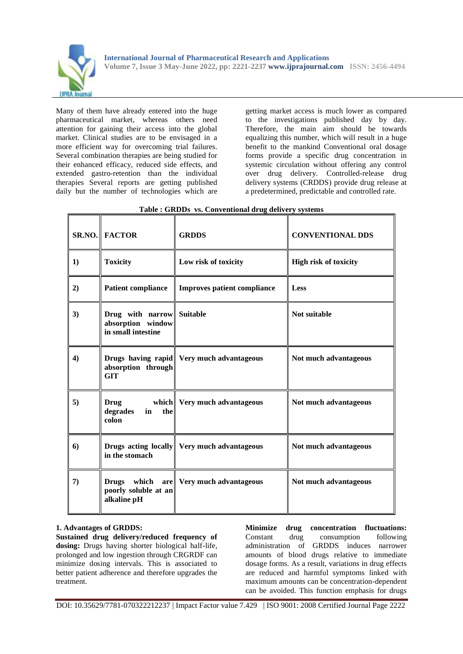

Many of them have already entered into the huge pharmaceutical market, whereas others need attention for gaining their access into the global market. Clinical studies are to be envisaged in a more efficient way for overcoming trial failures. Several combination therapies are being studied for their enhanced efficacy, reduced side effects, and extended gastro-retention than the individual therapies Several reports are getting published daily but the number of technologies which are getting market access is much lower as compared to the investigations published day by day. Therefore, the main aim should be towards equalizing this number, which will result in a huge benefit to the mankind Conventional oral dosage forms provide a specific drug concentration in systemic circulation without offering any control over drug delivery. Controlled-release drug delivery systems (CRDDS) provide drug release at a predetermined, predictable and controlled rate.

|          | <b>SR.NO. FACTOR</b>                                                 | <b>GRDDS</b>                                | <b>CONVENTIONAL DDS</b>      |
|----------|----------------------------------------------------------------------|---------------------------------------------|------------------------------|
| $\bf{1}$ | <b>Toxicity</b>                                                      | Low risk of toxicity                        | <b>High risk of toxicity</b> |
| 2)       | <b>Patient compliance</b>                                            | <b>Improves patient compliance</b>          | Less                         |
| 3)       | Drug with narrow Suitable<br>absorption window<br>in small intestine |                                             | Not suitable                 |
| 4)       | absorption through<br><b>GIT</b>                                     | Drugs having rapid Very much advantageous   | Not much advantageous        |
| 5)       | <b>Drug</b><br>degrades<br>the<br>in<br>colon                        | which Very much advantageous                | Not much advantageous        |
| 6)       | in the stomach                                                       | Drugs acting locally Very much advantageous | Not much advantageous        |
| 7)       | which<br><b>Drugs</b><br>poorly soluble at an<br>alkaline pH         | are Very much advantageous                  | Not much advantageous        |

# **Table : GRDDs vs. Conventional drug delivery systems**

### **1. Advantages of GRDDS:**

**Sustained drug delivery/reduced frequency of dosing:** Drugs having shorter biological half-life, prolonged and low ingestion through CRGRDF can minimize dosing intervals. This is associated to better patient adherence and therefore upgrades the treatment.

**Minimize drug concentration fluctuations:**  Constant drug consumption following administration of GRDDS induces narrower amounts of blood drugs relative to immediate dosage forms. As a result, variations in drug effects are reduced and harmful symptoms linked with maximum amounts can be concentration-dependent can be avoided. This function emphasis for drugs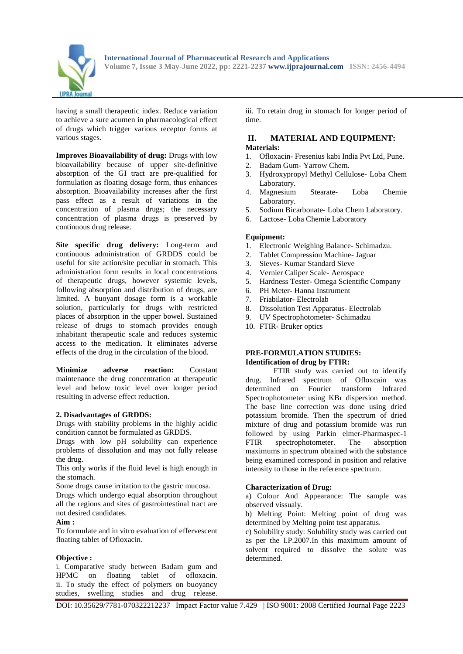

having a small therapeutic index. Reduce variation to achieve a sure acumen in pharmacological effect of drugs which trigger various receptor forms at various stages.

**Improves Bioavailability of drug:** Drugs with low bioavailability because of upper site-definitive absorption of the GI tract are pre-qualified for formulation as floating dosage form, thus enhances absorption. Bioavailability increases after the first pass effect as a result of variations in the concentration of plasma drugs; the necessary concentration of plasma drugs is preserved by continuous drug release.

**Site specific drug delivery:** Long-term and continuous administration of GRDDS could be useful for site action/site peculiar in stomach. This administration form results in local concentrations of therapeutic drugs, however systemic levels, following absorption and distribution of drugs, are limited. A buoyant dosage form is a workable solution, particularly for drugs with restricted places of absorption in the upper bowel. Sustained release of drugs to stomach provides enough inhabitant therapeutic scale and reduces systemic access to the medication. It eliminates adverse effects of the drug in the circulation of the blood.

**Minimize adverse reaction:** Constant maintenance the drug concentration at therapeutic level and below toxic level over longer period resulting in adverse effect reduction.

#### **2. Disadvantages of GRDDS:**

Drugs with stability problems in the highly acidic condition cannot be formulated as GRDDS.

Drugs with low pH solubility can experience problems of dissolution and may not fully release the drug.

This only works if the fluid level is high enough in the stomach.

Some drugs cause irritation to the gastric mucosa.

Drugs which undergo equal absorption throughout all the regions and sites of gastrointestinal tract are not desired candidates.

#### **Aim :**

To formulate and in vitro evaluation of effervescent floating tablet of Ofloxacin.

#### **Objective :**

i. Comparative study between Badam gum and HPMC on floating tablet of ofloxacin. ii. To study the effect of polymers on buoyancy studies, swelling studies and drug release.

iii. To retain drug in stomach for longer period of time.

# **II. MATERIAL AND EQUIPMENT:**

# **Materials:**

- 1. Ofloxacin- Fresenius kabi India Pvt Ltd, Pune.
- 2. Badam Gum- Yarrow Chem.
- 3. Hydroxypropyl Methyl Cellulose- Loba Chem Laboratory.
- 4. Magnesium Stearate- Loba Chemie Laboratory.
- 5. Sodium Bicarbonate- Loba Chem Laboratory.
- 6. Lactose- Loba Chemie Laboratory

# **Equipment:**

- 1. Electronic Weighing Balance- Schimadzu.
- 2. Tablet Compression Machine- Jaguar
- 3. Sieves- Kumar Standard Sieve
- 4. Vernier Caliper Scale- Aerospace
- 5. Hardness Tester- Omega Scientific Company
- 6. PH Meter- Hanna Instrument
- 7. Friabilator- Electrolab
- 8. Dissolution Test Apparatus- Electrolab
- 9. UV Spectrophotometer- Schimadzu
- 10. FTIR- Bruker optics

#### **PRE-FORMULATION STUDIES: Identification of drug by FTIR:**

FTIR study was carried out to identify drug. Infrared spectrum of Ofloxcain was determined on Fourier transform Infrared Spectrophotometer using KBr dispersion method. The base line correction was done using dried potassium bromide. Then the spectrum of dried mixture of drug and potassium bromide was run followed by using Parkin elmer-Pharmaspec-1 FTIR spectrophotometer. The absorption maximums in spectrum obtained with the substance being examined correspond in position and relative intensity to those in the reference spectrum.

#### **Characterization of Drug:**

a) Colour And Appearance: The sample was observed vissualy.

b) Melting Point: Melting point of drug was determined by Melting point test apparatus.

c) Solubility study: Solubility study was carried out as per the I.P.2007.In this maximum amount of solvent required to dissolve the solute was determined.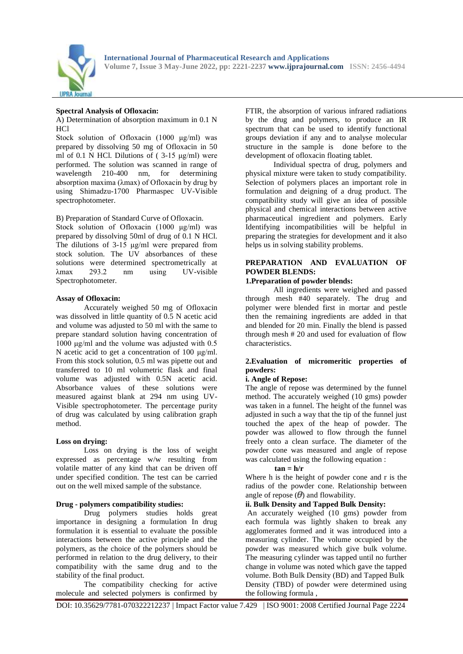

#### **Spectral Analysis of Ofloxacin:**

A) Determination of absorption maximum in 0.1 N H<sub>C</sub>l

Stock solution of Ofloxacin (1000 μg/ml) was prepared by dissolving 50 mg of Ofloxacin in 50 ml of 0.1 N HCl. Dilutions of  $(3-15 \text{ µg/ml})$  were performed. The solution was scanned in range of wavelength 210-400 nm, for determining absorption maxima (λmax) of Ofloxacin by drug by using Shimadzu-1700 Pharmaspec UV-Visible spectrophotometer.

B) Preparation of Standard Curve of Ofloxacin.

Stock solution of Ofloxacin (1000 μg/ml) was prepared by dissolving 50ml of drug of 0.1 N HCl. The dilutions of 3-15 μg/ml were prepared from stock solution. The UV absorbances of these solutions were determined spectrometrically at λmax 293.2 nm using UV-visible Spectrophotometer.

#### **Assay of Ofloxacin:**

Accurately weighed 50 mg of Ofloxacin was dissolved in little quantity of 0.5 N acetic acid and volume was adjusted to 50 ml with the same to prepare standard solution having concentration of 1000 μg/ml and the volume was adjusted with 0.5 N acetic acid to get a concentration of 100 μg/ml. From this stock solution, 0.5 ml was pipette out and transferred to 10 ml volumetric flask and final volume was adjusted with 0.5N acetic acid. Absorbance values of these solutions were measured against blank at 294 nm using UV-Visible spectrophotometer. The percentage purity of drug was calculated by using calibration graph method.

#### **Loss on drying:**

Loss on drying is the loss of weight expressed as percentage w/w resulting from volatile matter of any kind that can be driven off under specified condition. The test can be carried out on the well mixed sample of the substance.

#### **Drug - polymers compatibility studies:**

Drug polymers studies holds great importance in designing a formulation In drug formulation it is essential to evaluate the possible interactions between the active principle and the polymers, as the choice of the polymers should be performed in relation to the drug delivery, to their compatibility with the same drug and to the stability of the final product.

The compatibility checking for active molecule and selected polymers is confirmed by

FTIR, the absorption of various infrared radiations by the drug and polymers, to produce an IR spectrum that can be used to identify functional groups deviation if any and to analyse molecular structure in the sample is done before to the development of ofloxacin floating tablet.

Individual spectra of drug, polymers and physical mixture were taken to study compatibility. Selection of polymers places an important role in formulation and deigning of a drug product. The compatibility study will give an idea of possible physical and chemical interactions between active pharmaceutical ingredient and polymers. Early Identifying incompatibilities will be helpful in preparing the strategies for development and it also helps us in solving stability problems.

#### **PREPARATION AND EVALUATION OF POWDER BLENDS:**

#### **1.Preparation of powder blends:**

All ingredients were weighed and passed through mesh #40 separately. The drug and polymer were blended first in mortar and pestle then the remaining ingredients are added in that and blended for 20 min. Finally the blend is passed through mesh # 20 and used for evaluation of flow characteristics.

# **2.Evaluation of micromeritic properties of powders:**

#### **i. Angle of Repose:**

The angle of repose was determined by the funnel method. The accurately weighed (10 gms) powder was taken in a funnel. The height of the funnel was adjusted in such a way that the tip of the funnel just touched the apex of the heap of powder. The powder was allowed to flow through the funnel freely onto a clean surface. The diameter of the powder cone was measured and angle of repose was calculated using the following equation :

#### $\tan = h/r$

Where h is the height of powder cone and r is the radius of the powder cone. Relationship between angle of repose  $(\theta)$  and flowability.

#### **ii. Bulk Density and Tapped Bulk Density:**

An accurately weighed (10 gms) powder from each formula was lightly shaken to break any agglomerates formed and it was introduced into a measuring cylinder. The volume occupied by the powder was measured which give bulk volume. The measuring cylinder was tapped until no further change in volume was noted which gave the tapped volume. Both Bulk Density (BD) and Tapped Bulk Density (TBD) of powder were determined using the following formula ,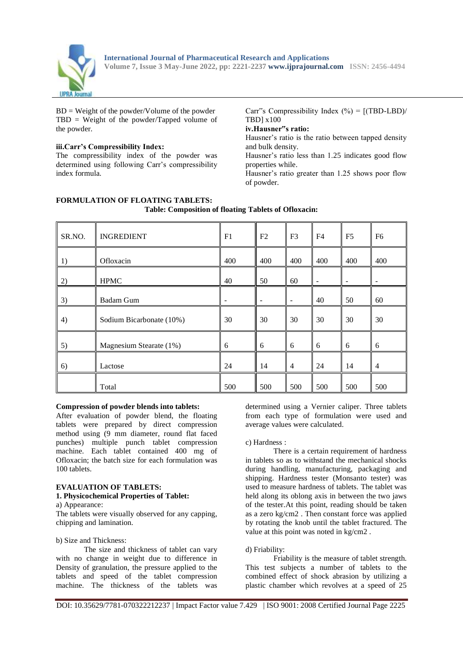

 $BD = Weight of the powder/Volume of the powder$ TBD = Weight of the powder/Tapped volume of the powder.

#### **iii.Carr's Compressibility Index:**

The compressibility index of the powder was determined using following Carr's compressibility index formula.

Carr"s Compressibility Index  $(\% ) = [(TBD-LBD)/$ TBD] x100

# **iv.Hausner"s ratio:**

Hausner's ratio is the ratio between tapped density and bulk density.

Hausner's ratio less than 1.25 indicates good flow properties while.

Hausner's ratio greater than 1.25 shows poor flow of powder.

| SR.NO. | <b>INGREDIENT</b>        | F1  | F <sub>2</sub>           | F <sub>3</sub>               | F <sub>4</sub> | F <sub>5</sub> | F <sub>6</sub> |
|--------|--------------------------|-----|--------------------------|------------------------------|----------------|----------------|----------------|
| 1)     | Ofloxacin                | 400 | 400                      | 400                          | 400            | 400            | 400            |
| 2)     | <b>HPMC</b>              | 40  | 50                       | 60                           |                |                |                |
| 3)     | <b>Badam Gum</b>         |     | $\overline{\phantom{a}}$ | $\qquad \qquad \blacksquare$ | 40             | 50             | 60             |
| 4)     | Sodium Bicarbonate (10%) | 30  | 30                       | 30                           | 30             | 30             | 30             |
| 5)     | Magnesium Stearate (1%)  | 6   | 6                        | 6                            | 6              | 6              | 6              |
| 6)     | Lactose                  | 24  | 14                       | $\overline{4}$               | 24             | 14             | $\overline{4}$ |
|        | Total                    | 500 | 500                      | 500                          | 500            | 500            | 500            |

#### **FORMULATION OF FLOATING TABLETS: Table: Composition of floating Tablets of Ofloxacin:**

# **Compression of powder blends into tablets:**

After evaluation of powder blend, the floating tablets were prepared by direct compression method using (9 mm diameter, round flat faced punches) multiple punch tablet compression machine. Each tablet contained 400 mg of Ofloxacin; the batch size for each formulation was 100 tablets.

#### **EVALUATION OF TABLETS: 1. Physicochemical Properties of Tablet:**

a) Appearance:

The tablets were visually observed for any capping, chipping and lamination.

#### b) Size and Thickness:

The size and thickness of tablet can vary with no change in weight due to difference in Density of granulation, the pressure applied to the tablets and speed of the tablet compression machine. The thickness of the tablets was

determined using a Vernier caliper. Three tablets from each type of formulation were used and average values were calculated.

#### c) Hardness :

There is a certain requirement of hardness in tablets so as to withstand the mechanical shocks during handling, manufacturing, packaging and shipping. Hardness tester (Monsanto tester) was used to measure hardness of tablets. The tablet was held along its oblong axis in between the two jaws of the tester.At this point, reading should be taken as a zero kg/cm2 . Then constant force was applied by rotating the knob until the tablet fractured. The value at this point was noted in kg/cm2 .

#### d) Friability:

Friability is the measure of tablet strength. This test subjects a number of tablets to the combined effect of shock abrasion by utilizing a plastic chamber which revolves at a speed of 25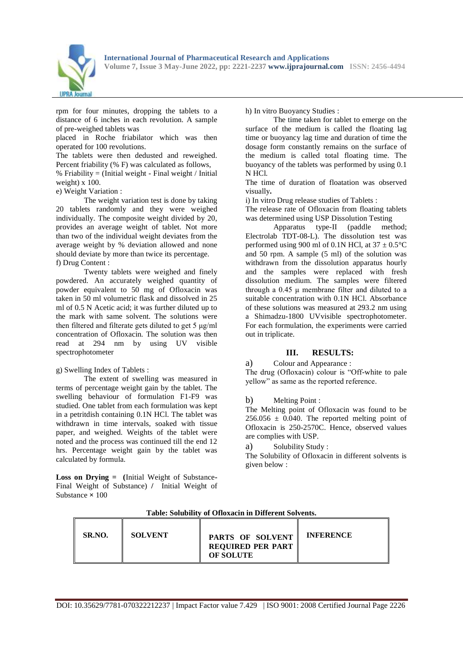

rpm for four minutes, dropping the tablets to a distance of 6 inches in each revolution. A sample of pre-weighed tablets was

placed in Roche friabilator which was then operated for 100 revolutions.

The tablets were then dedusted and reweighed. Percent friability (% F) was calculated as follows,

% Friability = (Initial weight - Final weight / Initial weight) x 100.

e) Weight Variation :

The weight variation test is done by taking 20 tablets randomly and they were weighed individually. The composite weight divided by 20, provides an average weight of tablet. Not more than two of the individual weight deviates from the average weight by % deviation allowed and none should deviate by more than twice its percentage. f) Drug Content :

Twenty tablets were weighed and finely powdered. An accurately weighed quantity of powder equivalent to 50 mg of Ofloxacin was taken in 50 ml volumetric flask and dissolved in 25 ml of 0.5 N Acetic acid; it was further diluted up to the mark with same solvent. The solutions were then filtered and filterate gets diluted to get 5 μg/ml concentration of Ofloxacin. The solution was then read at 294 nm by using UV visible spectrophotometer

g) Swelling Index of Tablets :

The extent of swelling was measured in terms of percentage weight gain by the tablet. The swelling behaviour of formulation F1-F9 was studied. One tablet from each formulation was kept in a petritdish containing 0.1N HCl. The tablet was withdrawn in time intervals, soaked with tissue paper, and weighed. Weights of the tablet were noted and the process was continued till the end 12 hrs. Percentage weight gain by the tablet was calculated by formula.

**Loss on Drying = (**Initial Weight of Substance**-**Final Weight of Substance) **/** Initial Weight of Substance **×** 100

h) In vitro Buoyancy Studies :

The time taken for tablet to emerge on the surface of the medium is called the floating lag time or buoyancy lag time and duration of time the dosage form constantly remains on the surface of the medium is called total floating time. The buoyancy of the tablets was performed by using 0.1 N HCl.

The time of duration of floatation was observed visually**.**

i) In vitro Drug release studies of Tablets :

The release rate of Ofloxacin from floating tablets was determined using USP Dissolution Testing

Apparatus type-II (paddle method; Electrolab TDT-08-L). The dissolution test was performed using 900 ml of 0.1N HCl, at  $37 \pm 0.5^{\circ}$ C and 50 rpm. A sample (5 ml) of the solution was withdrawn from the dissolution apparatus hourly and the samples were replaced with fresh dissolution medium. The samples were filtered through a 0.45 μ membrane filter and diluted to a suitable concentration with 0.1N HCl. Absorbance of these solutions was measured at 293.2 nm using a Shimadzu-1800 UVvisible spectrophotometer. For each formulation, the experiments were carried out in triplicate.

# **III. RESULTS:**

a) Colour and Appearance :

The drug (Ofloxacin) colour is "Off-white to pale yellow" as same as the reported reference.

#### b) Melting Point :

The Melting point of Ofloxacin was found to be  $256.056 \pm 0.040$ . The reported melting point of Ofloxacin is 250-2570C. Hence, observed values are complies with USP.

a) Solubility Study :

The Solubility of Ofloxacin in different solvents is given below :

| SR.NO.<br><b>SOLVENT</b> | PARTS OF SOLVENT<br><b>REQUIRED PER PART</b><br><b>OF SOLUTE</b> | <b>INFERENCE</b> |
|--------------------------|------------------------------------------------------------------|------------------|
|--------------------------|------------------------------------------------------------------|------------------|

#### **Table: Solubility of Ofloxacin in Different Solvents.**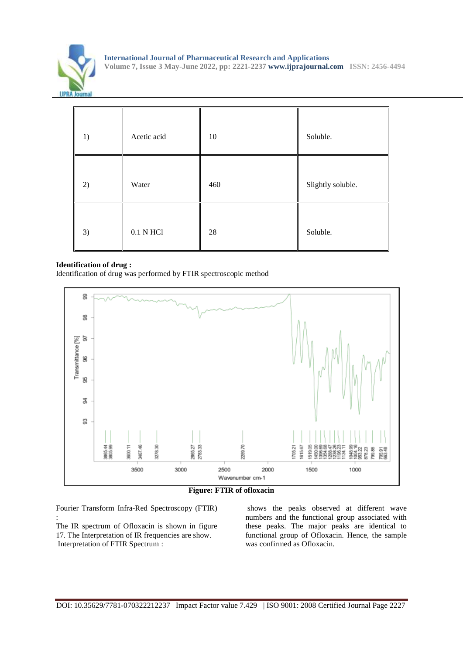

| 1) | Acetic acid | 10  | Soluble.          |
|----|-------------|-----|-------------------|
| 2) | Water       | 460 | Slightly soluble. |
| 3) | 0.1 N HCl   | 28  | Soluble.          |

#### **Identification of drug :**

Identification of drug was performed by FTIR spectroscopic method



**Figure: FTIR of ofloxacin**

Fourier Transform Infra-Red Spectroscopy (FTIR) :

The IR spectrum of Ofloxacin is shown in figure 17. The Interpretation of IR frequencies are show. Interpretation of FTIR Spectrum :

shows the peaks observed at different wave numbers and the functional group associated with these peaks. The major peaks are identical to functional group of Ofloxacin. Hence, the sample was confirmed as Ofloxacin.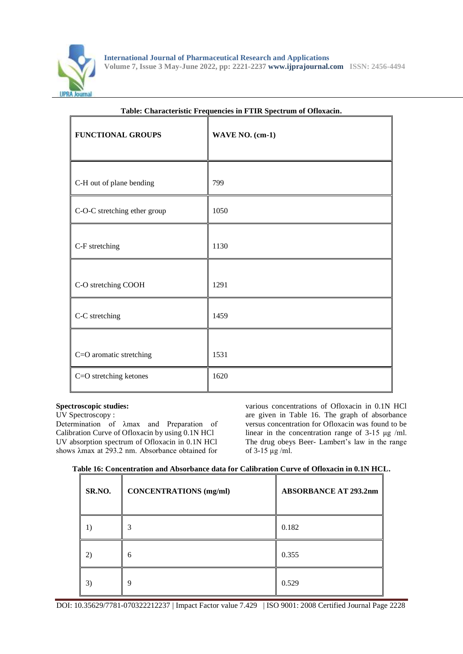

| asie: Characteristic Freq<br><b>FUNCTIONAL GROUPS</b> | acheres in 1 11n specifiant of Stromacini<br>WAVE NO. (cm-1) |
|-------------------------------------------------------|--------------------------------------------------------------|
| C-H out of plane bending                              | 799                                                          |
| C-O-C stretching ether group                          | 1050                                                         |
| C-F stretching                                        | 1130                                                         |
| C-O stretching COOH                                   | 1291                                                         |
| C-C stretching                                        | 1459                                                         |
| C=O aromatic stretching                               | 1531                                                         |
| C=O stretching ketones                                | 1620                                                         |

# **Table: Characteristic Frequencies in FTIR Spectrum of Ofloxacin.**

# **Spectroscopic studies:**

UV Spectroscopy : Determination of λmax and Preparation of Calibration Curve of Ofloxacin by using 0.1N HCl UV absorption spectrum of Ofloxacin in 0.1N HCl shows λmax at 293.2 nm. Absorbance obtained for

various concentrations of Ofloxacin in 0.1N HCl are given in Table 16. The graph of absorbance versus concentration for Ofloxacin was found to be linear in the concentration range of 3-15 μg /ml. The drug obeys Beer- Lambert's law in the range of 3-15 μg /ml.

**Table 16: Concentration and Absorbance data for Calibration Curve of Ofloxacin in 0.1N HCL.**

| SR.NO. | <b>CONCENTRATIONS</b> (mg/ml) | <b>ABSORBANCE AT 293.2nm</b> |
|--------|-------------------------------|------------------------------|
|        |                               | 0.182                        |
| (2)    | 6                             | 0.355                        |
| 3)     | Q                             | 0.529                        |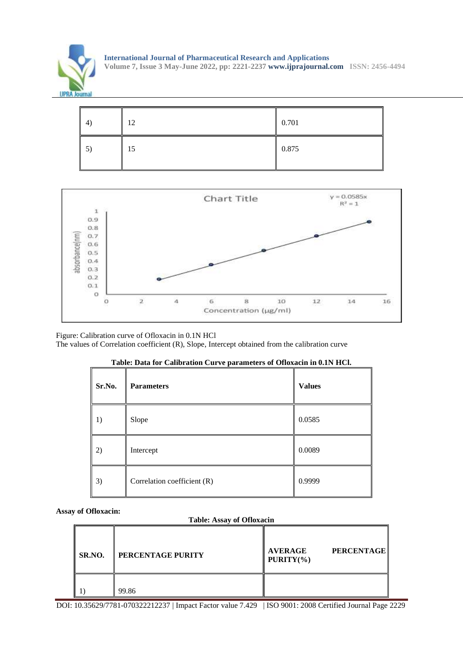





Figure: Calibration curve of Ofloxacin in 0.1N HCl The values of Correlation coefficient (R), Slope, Intercept obtained from the calibration curve

| Sr.No. | <b>Parameters</b>           | <b>Values</b> |
|--------|-----------------------------|---------------|
| 1)     | Slope                       | 0.0585        |
| 2)     | Intercept                   | 0.0089        |
| 3)     | Correlation coefficient (R) | 0.9999        |

| Table: Data for Calibration Curve parameters of Ofloxacin in 0.1N HCl. |  |
|------------------------------------------------------------------------|--|
|------------------------------------------------------------------------|--|

**Assay of Ofloxacin:**

#### **Table: Assay of Ofloxacin**

| SR.NO. | <b>PERCENTAGE PURITY</b> | <b>PERCENTAGE</b><br><b>AVERAGE</b><br>$\mathbf{P} \mathbf{U}\mathbf{R} \mathbf{I} \mathbf{T} \mathbf{Y}(\mathcal{V}_0)$ |  |  |
|--------|--------------------------|--------------------------------------------------------------------------------------------------------------------------|--|--|
|        | 99.86                    |                                                                                                                          |  |  |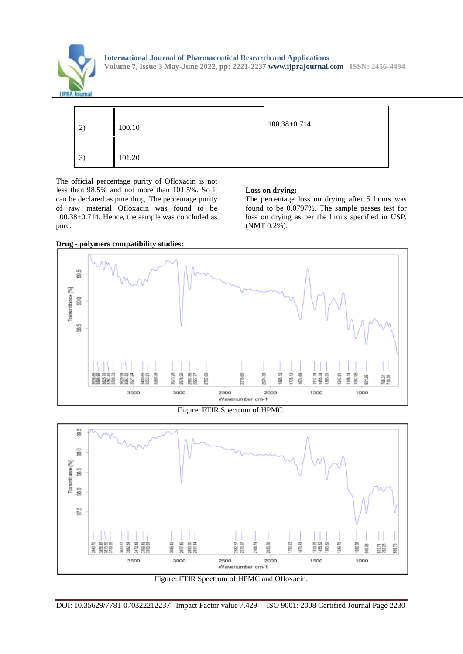



The official percentage purity of Ofloxacin is not less than 98.5% and not more than 101.5%. So it can be declared as pure drug. The percentage purity of raw material Ofloxacin was found to be 100.38±0.714. Hence, the sample was concluded as pure.

#### **Loss on drying:**

The percentage loss on drying after 5 hours was found to be 0.0797%. The sample passes test for loss on drying as per the limits specified in USP. (NMT 0.2%).



Figure: FTIR Spectrum of HPMC.





**Drug - polymers compatibility studies:**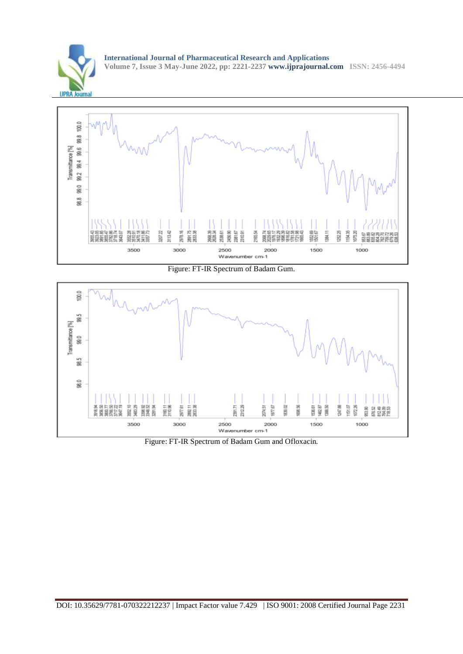

**International Journal of Pharmaceutical Research and Applications Volume 7, Issue 3 May-June 2022, pp: 2221-2237 www.ijprajournal.com ISSN: 2456-4494**



Figure: FT-IR Spectrum of Badam Gum.



Figure: FT-IR Spectrum of Badam Gum and Ofloxacin.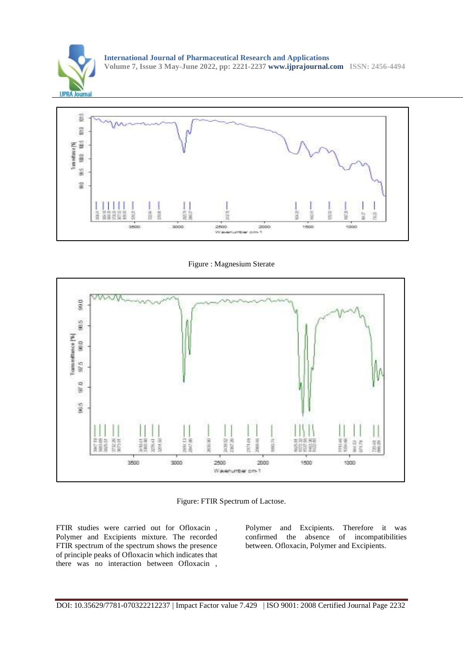



Figure : Magnesium Sterate



Figure: FTIR Spectrum of Lactose.

FTIR studies were carried out for Ofloxacin , Polymer and Excipients mixture. The recorded FTIR spectrum of the spectrum shows the presence of principle peaks of Ofloxacin which indicates that there was no interaction between Ofloxacin ,

Polymer and Excipients. Therefore it was confirmed the absence of incompatibilities between. Ofloxacin, Polymer and Excipients.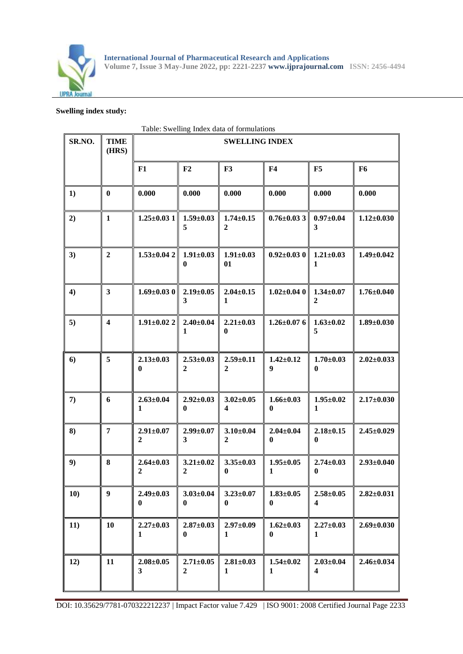

# **Swelling index study:**

|        | Table: Swelling Index data of formulations |                                   |                                   |                                     |                                 |                                            |                  |
|--------|--------------------------------------------|-----------------------------------|-----------------------------------|-------------------------------------|---------------------------------|--------------------------------------------|------------------|
| SR.NO. | <b>TIME</b><br>(HRS)                       | <b>SWELLING INDEX</b>             |                                   |                                     |                                 |                                            |                  |
|        |                                            | F1                                | F2                                | F3                                  | F4                              | F5                                         | F <sub>6</sub>   |
| 1)     | $\bf{0}$                                   | 0.000                             | 0.000                             | 0.000                               | 0.000                           | 0.000                                      | 0.000            |
| 2)     | $\mathbf{1}$                               | $1.25 \pm 0.031$                  | $1.59 \pm 0.03$<br>5              | $1.74 \pm 0.15$<br>$\boldsymbol{2}$ | $0.76 \pm 0.033$                | $0.97 \pm 0.04$<br>3                       | $1.12 \pm 0.030$ |
| 3)     | $\boldsymbol{2}$                           | $1.53 \pm 0.042$                  | $1.91 \pm 0.03$<br>$\bf{0}$       | $1.91 \pm 0.03$<br>01               | $0.92 \pm 0.030$                | $1.21 \pm 0.03$<br>1                       | $1.49 \pm 0.042$ |
| 4)     | $\mathbf{3}$                               | $1.69 \pm 0.030$                  | $2.19 \pm 0.05$<br>3              | $2.04 \pm 0.15$<br>1                | $1.02 \pm 0.04$ 0               | $1.34 \pm 0.07$<br>$\boldsymbol{2}$        | $1.76 \pm 0.040$ |
| 5)     | $\overline{\mathbf{4}}$                    | $1.91 \pm 0.022$                  | $2.40 \pm 0.04$<br>1              | $2.21 \pm 0.03$<br>$\bf{0}$         | $1.26 \pm 0.07$ 6               | $1.63 \pm 0.02$<br>5                       | $1.89 \pm 0.030$ |
| 6)     | 5                                          | $2.13 \pm 0.03$<br>0              | $2.53 \pm 0.03$<br>$\overline{2}$ | $2.59 \pm 0.11$<br>$\overline{2}$   | $1.42 \pm 0.12$<br>9            | $1.70 \pm 0.03$<br>$\bf{0}$                | $2.02 \pm 0.033$ |
| 7)     | 6                                          | $2.63 \pm 0.04$<br>1              | $2.92 \pm 0.03$<br>$\bf{0}$       | $3.02 \pm 0.05$<br>4                | $1.66 \pm 0.03$<br>$\bf{0}$     | $1.95 \pm 0.02$<br>$\mathbf{1}$            | $2.17 \pm 0.030$ |
| 8)     | $\overline{7}$                             | $2.91 \pm 0.07$<br>$\overline{2}$ | $2.99 \pm 0.07$<br>3              | $3.10 \pm 0.04$<br>$\overline{2}$   | $2.04 \pm 0.04$<br>$\bf{0}$     | $2.18 \pm 0.15$<br>$\boldsymbol{0}$        | $2.45 \pm 0.029$ |
| 9)     | 8                                          | $2.64 \pm 0.03$<br>$\overline{2}$ | $3.21 \pm 0.02$<br>$\mathbf{2}$   | $3.35 \pm 0.03$<br>$\bf{0}$         | $1.95 \pm 0.05$<br>1            | $2.74 \pm 0.03$<br>$\mathbf{0}$            | $2.93 \pm 0.040$ |
| 10)    | $\boldsymbol{9}$                           | $2.49 \pm 0.03$<br>0              | $3.03 \pm 0.04$<br>$\bf{0}$       | $3.23 \pm 0.07$<br>$\bf{0}$         | $1.83 \pm 0.05$<br>$\bf{0}$     | $2.58 \pm 0.05$<br>$\overline{\mathbf{4}}$ | $2.82 \pm 0.031$ |
| 11)    | 10                                         | $2.27 \pm 0.03$<br>1              | $2.87 \pm 0.03$<br>$\bf{0}$       | $2.97 \pm 0.09$<br>1                | $1.62 \pm 0.03$<br>$\bf{0}$     | $2.27 \pm 0.03$<br>1                       | $2.69 \pm 0.030$ |
| 12)    | 11                                         | $2.08 \pm 0.05$<br>3              | $2.71 \pm 0.05$<br>$\overline{2}$ | $2.81 \pm 0.03$<br>$\mathbf{1}$     | $1.54 \pm 0.02$<br>$\mathbf{1}$ | $2.03 \pm 0.04$<br>$\overline{\mathbf{4}}$ | $2.46 \pm 0.034$ |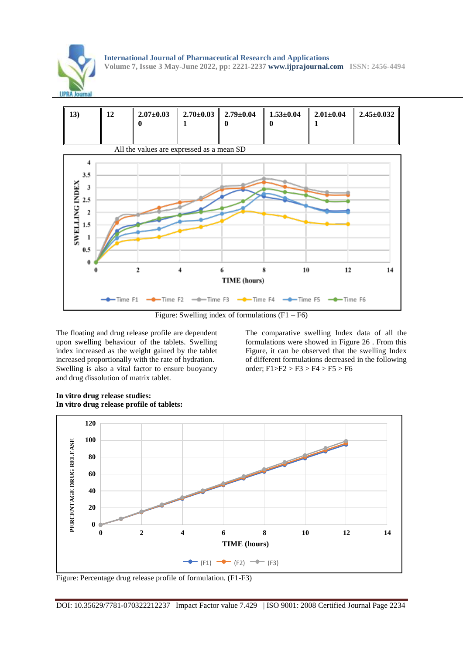





Figure: Swelling index of formulations  $(F1 - F6)$ 

The floating and drug release profile are dependent upon swelling behaviour of the tablets. Swelling index increased as the weight gained by the tablet increased proportionally with the rate of hydration. Swelling is also a vital factor to ensure buoyancy and drug dissolution of matrix tablet.

The comparative swelling Index data of all the formulations were showed in Figure 26 . From this Figure, it can be observed that the swelling Index of different formulations decreased in the following order; F1>F2 > F3 > F4 > F5 > F6



**In vitro drug release studies: In vitro drug release profile of tablets:** 

Figure: Percentage drug release profile of formulation. (F1-F3)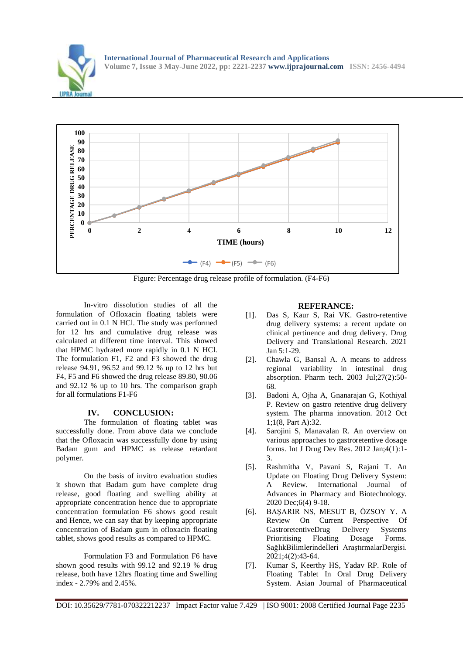



Figure: Percentage drug release profile of formulation. (F4-F6)

In-vitro dissolution studies of all the formulation of Ofloxacin floating tablets were carried out in 0.1 N HCl. The study was performed for 12 hrs and cumulative drug release was calculated at different time interval. This showed that HPMC hydrated more rapidly in 0.1 N HCl. The formulation F1, F2 and F3 showed the drug release 94.91, 96.52 and 99.12 % up to 12 hrs but F4, F5 and F6 showed the drug release 89.80, 90.06 and 92.12 % up to 10 hrs. The comparison graph for all formulations F1-F6

# **IV. CONCLUSION:**

The formulation of floating tablet was successfully done. From above data we conclude that the Ofloxacin was successfully done by using Badam gum and HPMC as release retardant polymer.

On the basis of invitro evaluation studies it shown that Badam gum have complete drug release, good floating and swelling ability at appropriate concentration hence due to appropriate concentration formulation F6 shows good result and Hence, we can say that by keeping appropriate concentration of Badam gum in ofloxacin floating tablet, shows good results as compared to HPMC.

Formulation F3 and Formulation F6 have shown good results with 99.12 and 92.19 % drug release, both have 12hrs floating time and Swelling index - 2.79% and 2.45%.

#### **REFERANCE:**

- [1]. Das S, Kaur S, Rai VK. Gastro-retentive drug delivery systems: a recent update on clinical pertinence and drug delivery. Drug Delivery and Translational Research. 2021 Jan 5:1-29.
- [2]. Chawla G, Bansal A. A means to address regional variability in intestinal drug absorption. Pharm tech. 2003 Jul;27(2):50- 68.
- [3]. Badoni A, Ojha A, Gnanarajan G, Kothiyal P. Review on gastro retentive drug delivery system. The pharma innovation. 2012 Oct 1;1(8, Part A):32.
- [4]. Sarojini S, Manavalan R. An overview on various approaches to gastroretentive dosage forms. Int J Drug Dev Res. 2012 Jan;4(1):1- 3.
- [5]. Rashmitha V, Pavani S, Rajani T. An Update on Floating Drug Delivery System: A Review. International Journal of Advances in Pharmacy and Biotechnology. 2020 Dec;6(4) 9-18.
- [6]. BAŞARIR NS, MESUT B, ÖZSOY Y. A Review On Current Perspective Of GastroretentiveDrug Delivery Systems Prioritising Floating Dosage Forms. SağlıkBilimlerindeİleri AraştırmalarDergisi. 2021;4(2):43-64.
- [7]. Kumar S, Keerthy HS, Yadav RP. Role of Floating Tablet In Oral Drug Delivery System. Asian Journal of Pharmaceutical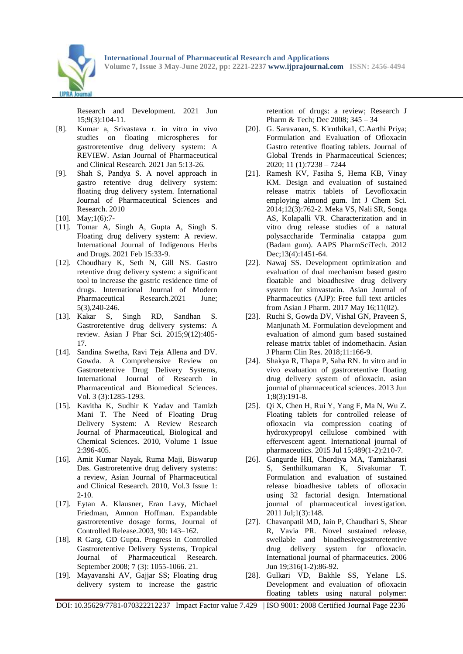

Research and Development. 2021 Jun 15;9(3):104-11.

- [8]. Kumar a, Srivastava r. in vitro in vivo studies on floating microspheres for gastroretentive drug delivery system: A REVIEW. Asian Journal of Pharmaceutical and Clinical Research. 2021 Jan 5:13-26.
- [9]. Shah S, Pandya S. A novel approach in gastro retentive drug delivery system: floating drug delivery system. International Journal of Pharmaceutical Sciences and Research. 2010
- [10]. May;1(6):7-
- [11]. Tomar A, Singh A, Gupta A, Singh S. Floating drug delivery system: A review. International Journal of Indigenous Herbs and Drugs. 2021 Feb 15:33-9.
- [12]. Choudhary K, Seth N, Gill NS. Gastro retentive drug delivery system: a significant tool to increase the gastric residence time of drugs. International Journal of Modern Pharmaceutical Research.2021 June; 5(3),240-246.
- [13]. Kakar S, Singh RD, Sandhan S. Gastroretentive drug delivery systems: A review. Asian J Phar Sci. 2015;9(12):405- 17.
- [14]. Sandina Swetha, Ravi Teja Allena and DV. Gowda. A Comprehensive Review on Gastroretentive Drug Delivery Systems, International Journal of Research in Pharmaceutical and Biomedical Sciences. Vol. 3 (3):1285-1293.
- [15]. Kavitha K, Sudhir K Yadav and Tamizh Mani T. The Need of Floating Drug Delivery System: A Review Research Journal of Pharmaceutical, Biological and Chemical Sciences. 2010, Volume 1 Issue 2:396-405.
- [16]. Amit Kumar Nayak, Ruma Maji, Biswarup Das. Gastroretentive drug delivery systems: a review, Asian Journal of Pharmaceutical and Clinical Research. 2010, Vol.3 Issue 1: 2-10.
- [17]. Eytan A. Klausner, Eran Lavy, Michael Friedman, Amnon Hoffman. Expandable gastroretentive dosage forms, Journal of Controlled Release.2003, 90: 143–162.
- [18]. R Garg, GD Gupta. Progress in Controlled Gastroretentive Delivery Systems, Tropical Journal of Pharmaceutical Research. September 2008; 7 (3): 1055-1066. 21.
- [19]. Mayavanshi AV, Gajjar SS; Floating drug delivery system to increase the gastric

retention of drugs: a review; Research J Pharm & Tech; Dec 2008; 345 – 34

- [20]. G. Saravanan, S. Kiruthika1, C.Aarthi Priya; Formulation and Evaluation of Ofloxacin Gastro retentive floating tablets. Journal of Global Trends in Pharmaceutical Sciences; 2020; 11 (1):7238 – 7244
- [21]. Ramesh KV, Fasiha S, Hema KB, Vinay KM. Design and evaluation of sustained release matrix tablets of Levofloxacin employing almond gum. Int J Chem Sci. 2014;12(3):762-2. Meka VS, Nali SR, Songa AS, Kolapalli VR. Characterization and in vitro drug release studies of a natural polysaccharide Terminalia catappa gum (Badam gum). AAPS PharmSciTech. 2012 Dec:13(4):1451-64.
- [22]. Nawaj SS. Development optimization and evaluation of dual mechanism based gastro floatable and bioadhesive drug delivery system for simvastatin. Asian Journal of Pharmaceutics (AJP): Free full text articles from Asian J Pharm. 2017 May 16;11(02).
- [23]. Ruchi S, Gowda DV, Vishal GN, Praveen S, Manjunath M. Formulation development and evaluation of almond gum based sustained release matrix tablet of indomethacin. Asian J Pharm Clin Res. 2018;11:166-9.
- [24]. Shakya R, Thapa P, Saha RN. In vitro and in vivo evaluation of gastroretentive floating drug delivery system of ofloxacin. asian journal of pharmaceutical sciences. 2013 Jun 1;8(3):191-8.
- [25]. Qi X, Chen H, Rui Y, Yang F, Ma N, Wu Z. Floating tablets for controlled release of ofloxacin via compression coating of hydroxypropyl cellulose combined with effervescent agent. International journal of pharmaceutics. 2015 Jul 15;489(1-2):210-7.
- [26]. Gangurde HH, Chordiya MA, Tamizharasi S, Senthilkumaran K, Sivakumar T. Formulation and evaluation of sustained release bioadhesive tablets of ofloxacin using 32 factorial design. International journal of pharmaceutical investigation. 2011 Jul;1(3):148.
- [27]. Chavanpatil MD, Jain P, Chaudhari S, Shear R, Vavia PR. Novel sustained release, swellable and bioadhesivegastroretentive drug delivery system for ofloxacin. International journal of pharmaceutics. 2006 Jun 19;316(1-2):86-92.
- [28]. Gulkari VD, Bakhle SS, Yelane LS. Development and evaluation of ofloxacin floating tablets using natural polymer: